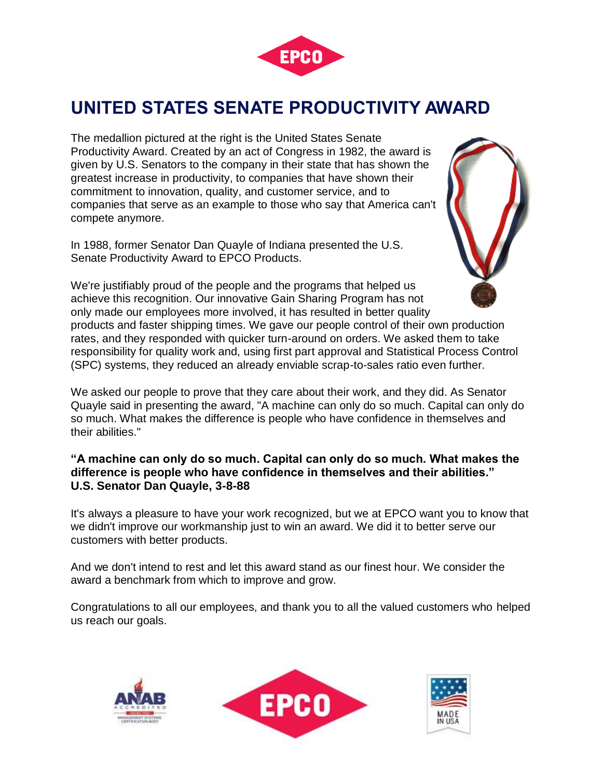

## **UNITED STATES SENATE PRODUCTIVITY AWARD**

The medallion pictured at the right is the United States Senate Productivity Award. Created by an act of Congress in 1982, the award is given by U.S. Senators to the company in their state that has shown the greatest increase in productivity, to companies that have shown their commitment to innovation, quality, and customer service, and to companies that serve as an example to those who say that America can't compete anymore.

In 1988, former Senator Dan Quayle of Indiana presented the U.S. Senate Productivity Award to EPCO Products.



We're justifiably proud of the people and the programs that helped us achieve this recognition. Our innovative Gain Sharing Program has not only made our employees more involved, it has resulted in better quality products and faster shipping times. We gave our people control of their own production rates, and they responded with quicker turn-around on orders. We asked them to take responsibility for quality work and, using first part approval and Statistical Process Control (SPC) systems, they reduced an already enviable scrap-to-sales ratio even further.

We asked our people to prove that they care about their work, and they did. As Senator Quayle said in presenting the award, "A machine can only do so much. Capital can only do so much. What makes the difference is people who have confidence in themselves and their abilities."

## **"A machine can only do so much. Capital can only do so much. What makes the difference is people who have confidence in themselves and their abilities." U.S. Senator Dan Quayle, 3-8-88**

It's always a pleasure to have your work recognized, but we at EPCO want you to know that we didn't improve our workmanship just to win an award. We did it to better serve our customers with better products.

And we don't intend to rest and let this award stand as our finest hour. We consider the award a benchmark from which to improve and grow.

Congratulations to all our employees, and thank you to all the valued customers who helped us reach our goals[.](http://www.zeroleak.com/request_packet.php)